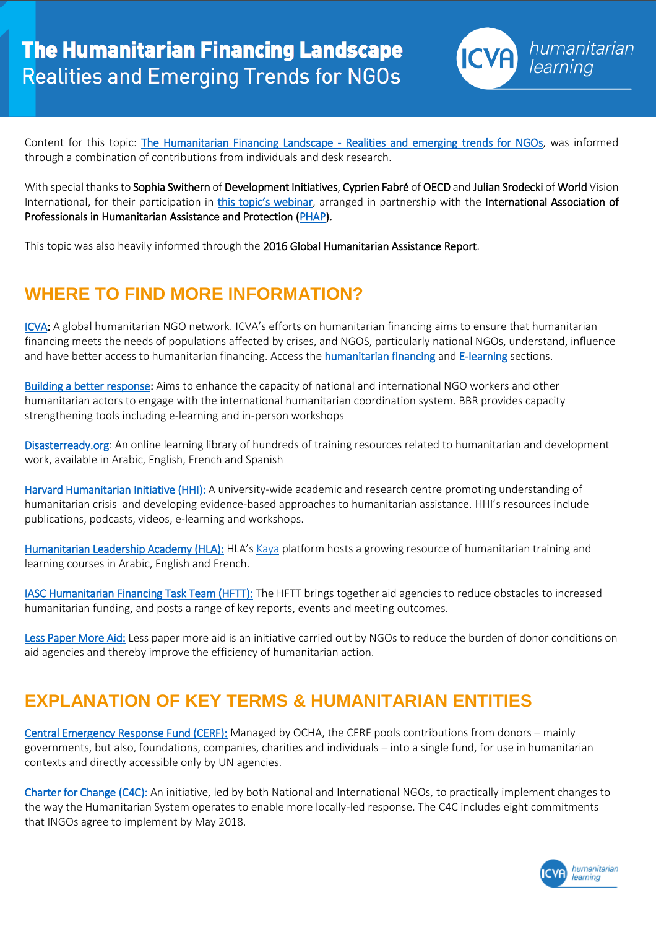

Content for this topic: [The Humanitarian Financing Landscape - Realities and emerging trends for NGOs,](https://icvanetwork.org/topic-one-humanitarian-financing-landscape-realities-and-emerging-trends-ngos) was informed through a combination of contributions from individuals and desk research.

With special thanks to Sophia Swithern of Development Initiatives, Cyprien Fabré of OECD and Julian Srodecki of World Vision International, for their participation in *[this topic's webinar](https://www.youtube.com/watch?v=25VKrQZpksU)*, arranged in partnership with the International Association of Professionals in Humanitarian Assistance and Protection [\(PHAP\)](https://phap.org/).

This topic was also heavily informed through the 2016 Global Humanitarian Assistance Report.

## **WHERE TO FIND MORE INFORMATION?**

[ICVA:](https://icvanetwork.org/) A global humanitarian NGO network. ICVA's efforts on humanitarian financing aims to ensure that humanitarian financing meets the needs of populations affected by crises, and NGOS, particularly national NGOs, understand, influence and have better access to humanitarian financing. Access th[e humanitarian financing](https://icvanetwork.org/humanitarian-financing) an[d E-learning](https://icvanetwork.org/humanitarian-learning) sections.

[Building a better response:](http://www.buildingabetterresponse.org/) Aims to enhance the capacity of national and international NGO workers and other humanitarian actors to engage with the international humanitarian coordination system. BBR provides capacity strengthening tools including e-learning and in-person workshops

[Disasterready.org:](http://www.disasterready.org/) An online learning library of hundreds of training resources related to humanitarian and development work, available in Arabic, English, French and Spanish

[Harvard Humanitarian Initiative \(HHI\):](http://hhi.harvard.edu/) A university-wide academic and research centre promoting understanding of humanitarian crisis and developing evidence-based approaches to humanitarian assistance. HHI's resources include publications, podcasts, videos, e-learning and workshops.

[Humanitarian Leadership Academy \(HLA\):](http://www.humanitarianleadershipacademy.org/) HLA's [Kaya](https://kayaconnect.org/) platform hosts a growing resource of humanitarian training and learning courses in Arabic, English and French.

[IASC Humanitarian Financing Task Team \(HFTT\):](https://interagencystandingcommittee.org/humanitarian-financing-task-team) The HFTT brings together aid agencies to reduce obstacles to increased humanitarian funding, and posts a range of key reports, events and meeting outcomes.

[Less Paper More Aid:](http://lesspapermoreaid.org/) Less paper more aid is an initiative carried out by NGOs to reduce the burden of donor conditions on aid agencies and thereby improve the efficiency of humanitarian action.

## **EXPLANATION OF KEY TERMS & HUMANITARIAN ENTITIES**

[Central Emergency Response Fund \(CERF\):](http://www.unocha.org/cerf/) Managed by OCHA, the CERF pools [contributions](http://www.staging.unocha.org/cerf/our-donors/funding/cerf-pledges-and-contributions-2006-2015) from donors – mainly governments, but also, foundations, companies, charities and individuals – into a single fund, for use in humanitarian contexts and directly accessible only by UN agencies.

[Charter for Change \(C4C\):](https://charter4change.org/) An initiative, led by both National and International NGOs, to practically implement changes to the way the Humanitarian System operates to enable more locally-led response. The C4C includes eight commitments that INGOs agree to implement by May 2018.